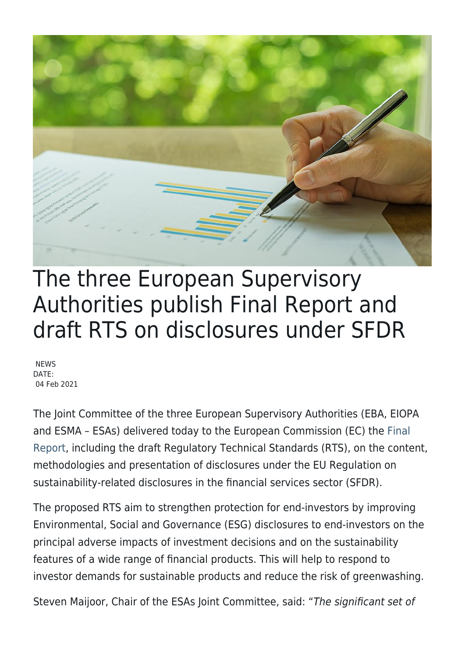

# The three European Supervisory Authorities publish Final Report and draft RTS on disclosures under SFDR

**NEWS** DATE: 04 Feb 2021

The Joint Committee of the three European Supervisory Authorities (EBA, EIOPA and ESMA – ESAs) delivered today to the European Commission (EC) the [Final](https://www.eiopa.europa.eu/content/final-report-draft-regulatory-technical-standards_en) [Report](https://www.eiopa.europa.eu/content/final-report-draft-regulatory-technical-standards_en), including the draft Regulatory Technical Standards (RTS), on the content, methodologies and presentation of disclosures under the EU Regulation on sustainability-related disclosures in the financial services sector (SFDR).

The proposed RTS aim to strengthen protection for end-investors by improving Environmental, Social and Governance (ESG) disclosures to end-investors on the principal adverse impacts of investment decisions and on the sustainability features of a wide range of financial products. This will help to respond to investor demands for sustainable products and reduce the risk of greenwashing.

Steven Maijoor, Chair of the ESAs Joint Committee, said: "The significant set of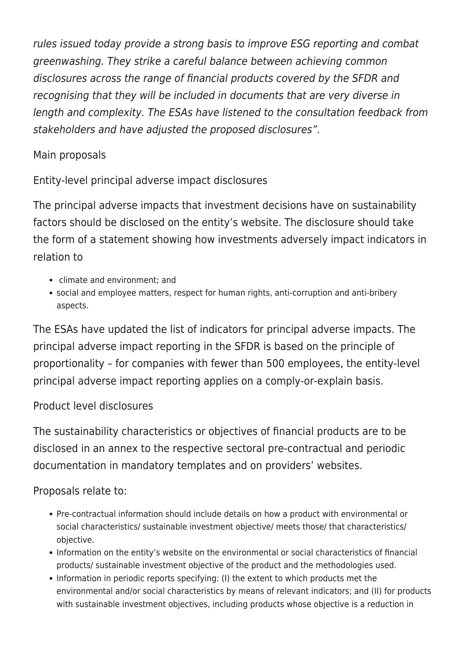rules issued today provide a strong basis to improve ESG reporting and combat greenwashing. They strike a careful balance between achieving common disclosures across the range of financial products covered by the SFDR and recognising that they will be included in documents that are very diverse in length and complexity. The ESAs have listened to the consultation feedback from stakeholders and have adjusted the proposed disclosures".

# Main proposals

Entity-level principal adverse impact disclosures

The principal adverse impacts that investment decisions have on sustainability factors should be disclosed on the entity's website. The disclosure should take the form of a statement showing how investments adversely impact indicators in relation to

- climate and environment; and
- social and employee matters, respect for human rights, anti-corruption and anti-bribery aspects.

The ESAs have updated the list of indicators for principal adverse impacts. The principal adverse impact reporting in the SFDR is based on the principle of proportionality – for companies with fewer than 500 employees, the entity-level principal adverse impact reporting applies on a comply-or-explain basis.

### Product level disclosures

The sustainability characteristics or objectives of financial products are to be disclosed in an annex to the respective sectoral pre-contractual and periodic documentation in mandatory templates and on providers' websites.

### Proposals relate to:

- Pre-contractual information should include details on how a product with environmental or social characteristics/ sustainable investment objective/ meets those/ that characteristics/ objective.
- Information on the entity's website on the environmental or social characteristics of financial products/ sustainable investment objective of the product and the methodologies used.
- Information in periodic reports specifying: (I) the extent to which products met the environmental and/or social characteristics by means of relevant indicators; and (II) for products with sustainable investment objectives, including products whose objective is a reduction in